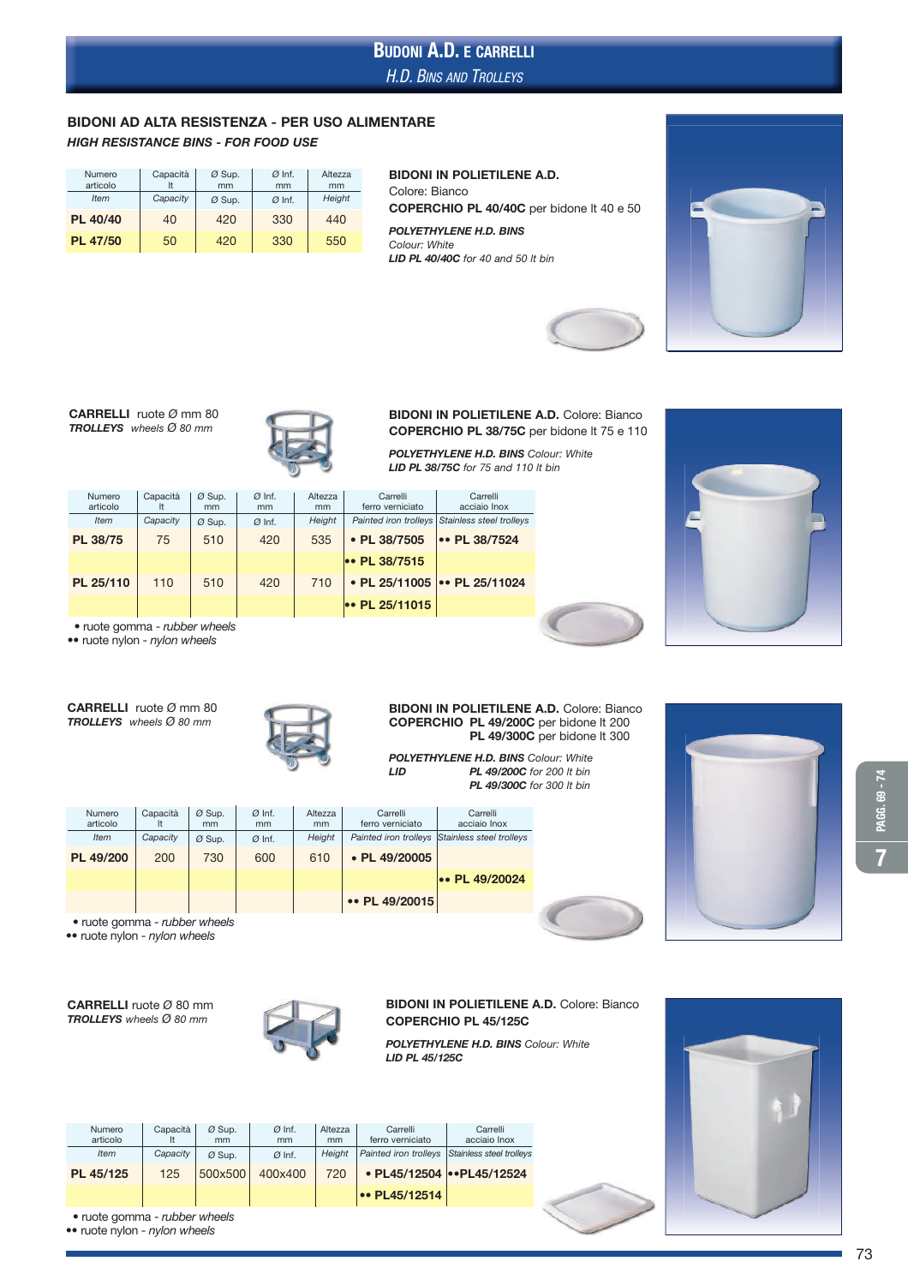# H.D. BINS AND TROLLEYS BUDONI A.D. E CARRELLI

# BIDONI AD ALTA RESISTENZA - PER USO ALIMENTARE

HIGH RESISTANCE BINS - FOR FOOD USE

| Numero<br>articolo | Capacità | Ø Sup.<br>mm | $\emptyset$ Inf.<br>mm | Altezza<br>mm |  |
|--------------------|----------|--------------|------------------------|---------------|--|
| <b>Item</b>        | Capacity | Ø Sup.       | $Ø$ Inf.               | Height        |  |
| PL 40/40           | 40       | 420          | 330                    | 440           |  |
| <b>PL 47/50</b>    | 50       | 420          | 330                    | 550           |  |

#### BIDONI IN POLIETILENE A.D. Colore: Bianco COPERCHIO PL 40/40C per bidone lt 40 e 50 POLYETHYLENE H.D. BINS *Colour: White* LID PL 40/40C *for 40 and 50 lt bin*









## BIDONI IN POLIETILENE A.D. Colore: Bianco COPERCHIO PL 38/75C per bidone lt 75 e 110 POLYETHYLENE H.D. BINS *Colour: White*

LID PL 38/75C *for 75 and 110 lt bin*



| <b>Numero</b><br>articolo | Capacità | $Ø$ Sup.<br>mm | $Ø$ Inf.<br>mm | Altezza<br>mm | Carrelli<br>ferro verniciato | Carrelli<br>acciaio Inox                       |
|---------------------------|----------|----------------|----------------|---------------|------------------------------|------------------------------------------------|
| <b>Item</b>               | Capacity | $Ø$ Sup.       | $Ø$ Inf.       | Height        |                              | Painted iron trolleys Stainless steel trolleys |
| PL 38/75                  | 75       | 510            | 420            | 535           | • PL 38/7505                 | •• PL 38/7524                                  |
|                           |          |                |                |               | $\bullet$ PL 38/7515         |                                                |
| PL 25/110                 | 110      | 510            | 420            | 710           |                              | • PL 25/11005   • PL 25/11024                  |
|                           |          |                |                |               | $\bullet$ PL 25/11015        |                                                |

• ruote gomma - *rubber wheels*

•• ruote nylon - *nylon wheels*

CARRELLI ruote *Ø* mm 80 TROLLEYS *wheels Ø 80 mm*



#### BIDONI IN POLIETILENE A.D. Colore: Bianco COPERCHIO PL 49/200C per bidone lt 200 PL 49/300C per bidone lt 300

POLYETHYLENE H.D. BINS *Colour: White* LID PL 49/200C *for 200 lt bin* PL 49/300C *for 300 lt bin*

| Numero<br>articolo                                        | Capacità | $Ø$ Sup.<br>mm | $Ø$ Inf.<br>mm | Altezza<br>mm | Carrelli<br>ferro verniciato | Carrelli<br>acciaio Inox |  |  |
|-----------------------------------------------------------|----------|----------------|----------------|---------------|------------------------------|--------------------------|--|--|
| Item                                                      | Capacity | $Ø$ Sup.       | $Ø$ Inf.       | Height        | Painted iron trolleys        | Stainless steel trolleys |  |  |
| PL 49/200                                                 | 200      | 730            | 600            | 610           | • PL 49/20005                |                          |  |  |
|                                                           |          |                |                |               |                              | $\bullet$ PL 49/20024    |  |  |
|                                                           |          |                |                |               | •• PL 49/20015               |                          |  |  |
| المالم منادينا والمادين المتموم وموسوعها والمتحدث المتحدث |          |                |                |               |                              |                          |  |  |

 • ruote gomma - *rubber wheels* •• ruote nylon - *nylon wheels*

CARRELLI ruote *Ø* 80 mm TROLLEYS *wheels Ø 80 mm*



### BIDONI IN POLIETILENE A.D. Colore: Bianco COPERCHIO PL 45/125C

POLYETHYLENE H.D. BINS *Colour: White* LID PL 45/125C

| Numero<br>articolo | Capacità | $Ø$ Sup.<br>mm | $Ø$ Inf.<br>mm | Altezza<br>mm | Carrelli<br>ferro verniciato | Carrelli<br>acciaio Inox  |
|--------------------|----------|----------------|----------------|---------------|------------------------------|---------------------------|
| <b>Item</b>        | Capacity | $Ø$ Sup.       | $Ø$ Inf.       | Height        | Painted iron trolleys        | Stainless steel trolleys  |
| PL 45/125          | 125      | 500x500        | 400×400        | 720           |                              | • PL45/12504 • PL45/12524 |
|                    |          |                |                |               | $\bullet\bullet$ PL45/12514  |                           |



• ruote gomma - *rubber wheels*

•• ruote nylon - *nylon wheels*